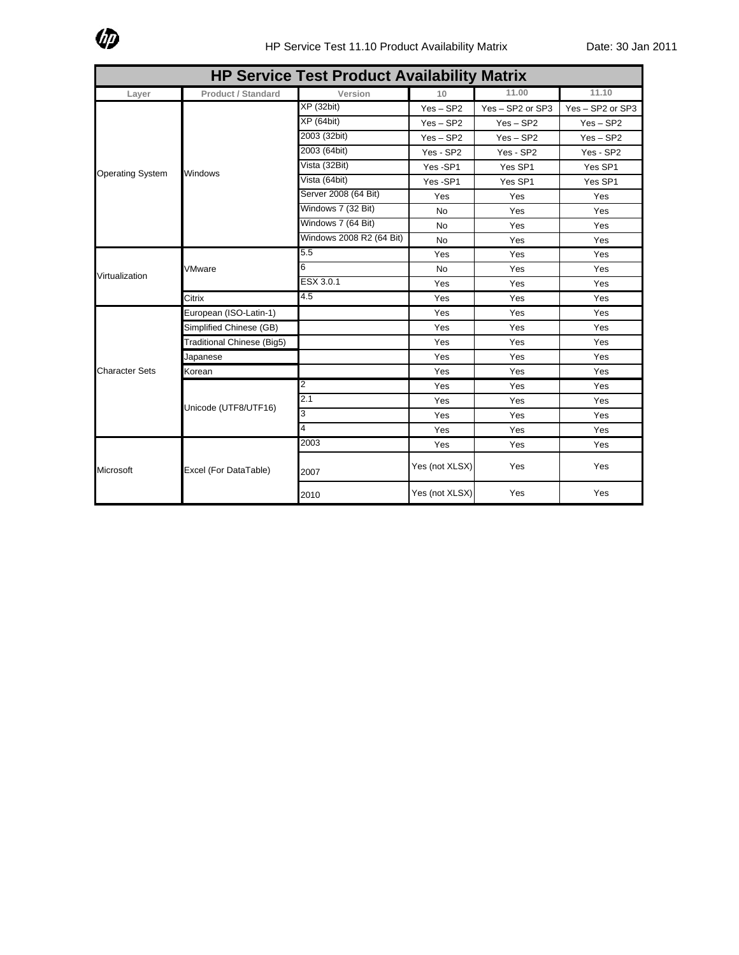

| <b>HP Service Test Product Availability Matrix</b> |                            |                          |                |                  |                  |  |
|----------------------------------------------------|----------------------------|--------------------------|----------------|------------------|------------------|--|
| Layer                                              | <b>Product / Standard</b>  | Version                  | 10             | 11.00            | 11.10            |  |
| <b>Operating System</b>                            | Windows                    | <b>XP</b> (32bit)        | $Yes - SP2$    | Yes - SP2 or SP3 | Yes - SP2 or SP3 |  |
|                                                    |                            | <b>XP</b> (64bit)        | $Yes - SP2$    | $Yes - SP2$      | $Yes - SP2$      |  |
|                                                    |                            | 2003 (32bit)             | $Yes - SP2$    | $Yes - SP2$      | $Yes - SP2$      |  |
|                                                    |                            | 2003 (64bit)             | Yes - SP2      | Yes - SP2        | Yes - SP2        |  |
|                                                    |                            | Vista (32Bit)            | Yes-SP1        | Yes SP1          | Yes SP1          |  |
|                                                    |                            | Vista (64bit)            | Yes-SP1        | Yes SP1          | Yes SP1          |  |
|                                                    |                            | Server 2008 (64 Bit)     | Yes            | Yes              | Yes              |  |
|                                                    |                            | Windows 7 (32 Bit)       | <b>No</b>      | Yes              | Yes              |  |
|                                                    |                            | Windows 7 (64 Bit)       | <b>No</b>      | Yes              | Yes              |  |
|                                                    |                            | Windows 2008 R2 (64 Bit) | <b>No</b>      | Yes              | Yes              |  |
|                                                    | VMware                     | 5.5                      | Yes            | Yes              | Yes              |  |
| Virtualization                                     |                            | 6                        | <b>No</b>      | Yes              | Yes              |  |
|                                                    |                            | ESX 3.0.1                | Yes            | Yes              | Yes              |  |
|                                                    | Citrix                     | 4.5                      | Yes            | Yes              | Yes              |  |
|                                                    | European (ISO-Latin-1)     |                          | Yes            | Yes              | Yes              |  |
| <b>Character Sets</b>                              | Simplified Chinese (GB)    |                          | Yes            | Yes              | Yes              |  |
|                                                    | Traditional Chinese (Big5) |                          | Yes            | Yes              | Yes              |  |
|                                                    | Japanese                   |                          | Yes            | Yes              | Yes              |  |
|                                                    | Korean                     |                          | Yes            | Yes              | Yes              |  |
|                                                    | Unicode (UTF8/UTF16)       | 2                        | Yes            | Yes              | Yes              |  |
|                                                    |                            | 2.1                      | Yes            | Yes              | Yes              |  |
|                                                    |                            | 3                        | Yes            | Yes              | Yes              |  |
|                                                    |                            | $\overline{\mathbf{4}}$  | Yes            | Yes              | Yes              |  |
| Microsoft                                          | Excel (For DataTable)      | 2003                     | Yes            | Yes              | Yes              |  |
|                                                    |                            | 2007                     | Yes (not XLSX) | Yes              | Yes              |  |
|                                                    |                            | 2010                     | Yes (not XLSX) | Yes              | Yes              |  |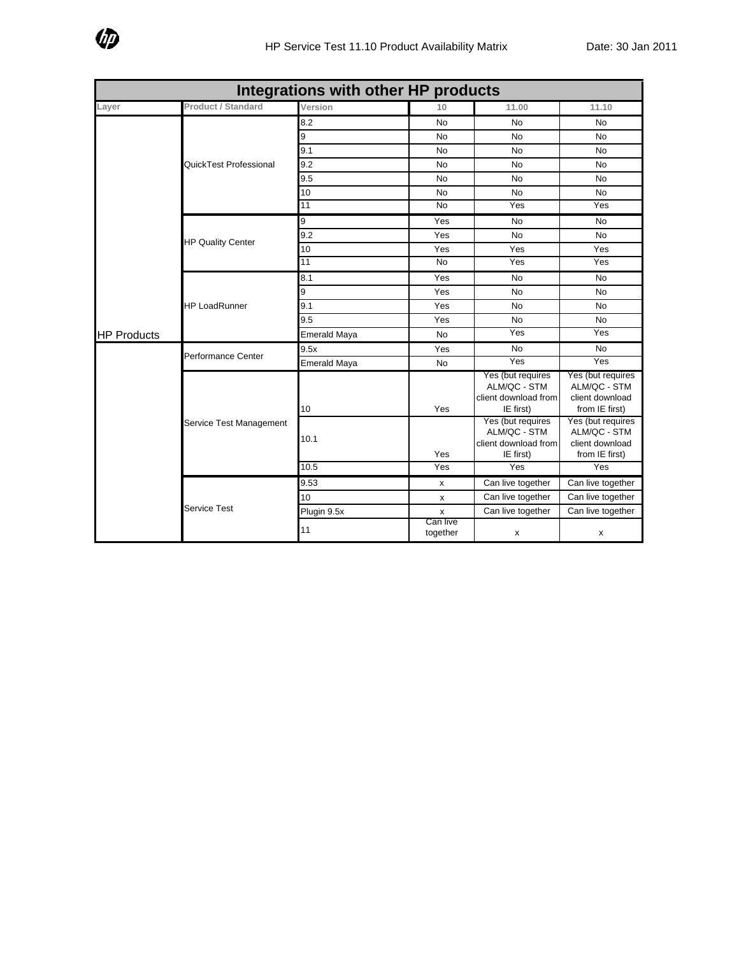

| Integrations with other HP products |                           |                     |                      |                                                                        |                                                                        |  |
|-------------------------------------|---------------------------|---------------------|----------------------|------------------------------------------------------------------------|------------------------------------------------------------------------|--|
| Layer                               | <b>Product / Standard</b> | Version             | 10                   | 11.00                                                                  | 11.10                                                                  |  |
| <b>HP Products</b>                  | QuickTest Professional    | $8.\overline{2}$    | No                   | <b>No</b>                                                              | <b>No</b>                                                              |  |
|                                     |                           | 9                   | No                   | <b>No</b>                                                              | <b>No</b>                                                              |  |
|                                     |                           | 9.1                 | No                   | <b>No</b>                                                              | No                                                                     |  |
|                                     |                           | 9.2                 | No                   | No                                                                     | No                                                                     |  |
|                                     |                           | 9.5                 | <b>No</b>            | <b>No</b>                                                              | No                                                                     |  |
|                                     |                           | 10                  | No                   | <b>No</b>                                                              | <b>No</b>                                                              |  |
|                                     |                           | 11                  | $\overline{N}$       | Yes                                                                    | Yes                                                                    |  |
|                                     | <b>HP Quality Center</b>  | 9                   | Yes                  | <b>No</b>                                                              | <b>No</b>                                                              |  |
|                                     |                           | 9.2                 | Yes                  | No                                                                     | No                                                                     |  |
|                                     |                           | 10                  | Yes                  | Yes                                                                    | Yes                                                                    |  |
|                                     |                           | 11                  | <b>No</b>            | Yes                                                                    | Yes                                                                    |  |
|                                     | <b>HP LoadRunner</b>      | 8.1                 | Yes                  | No                                                                     | No                                                                     |  |
|                                     |                           | 9                   | Yes                  | <b>No</b>                                                              | <b>No</b>                                                              |  |
|                                     |                           | 9.1                 | Yes                  | <b>No</b>                                                              | No                                                                     |  |
|                                     |                           | 9.5                 | Yes                  | <b>No</b>                                                              | No                                                                     |  |
|                                     |                           | <b>Emerald Maya</b> | <b>No</b>            | Yes                                                                    | Yes                                                                    |  |
|                                     | Performance Center        | 9.5x                | Yes                  | <b>No</b>                                                              | No.                                                                    |  |
|                                     |                           | <b>Emerald Maya</b> | <b>No</b>            | Yes                                                                    | Yes                                                                    |  |
|                                     | Service Test Management   | 10                  | Yes                  | Yes (but requires<br>ALM/QC - STM<br>client download from<br>IE first) | Yes (but requires<br>ALM/QC - STM<br>client download<br>from IE first) |  |
|                                     |                           | 10.1                | Yes                  | Yes (but requires<br>ALM/QC - STM<br>client download from<br>IE first) | Yes (but requires<br>ALM/QC - STM<br>client download<br>from IE first) |  |
|                                     |                           | 10.5                | Yes                  | Yes                                                                    | Yes                                                                    |  |
|                                     | <b>Service Test</b>       | 9.53                | x                    | Can live together                                                      | Can live together                                                      |  |
|                                     |                           | 10                  | x                    | Can live together                                                      | Can live together                                                      |  |
|                                     |                           | Plugin 9.5x         | $\pmb{\mathsf{x}}$   | Can live together                                                      | Can live together                                                      |  |
|                                     |                           | 11                  | Can live<br>together | х                                                                      | х                                                                      |  |